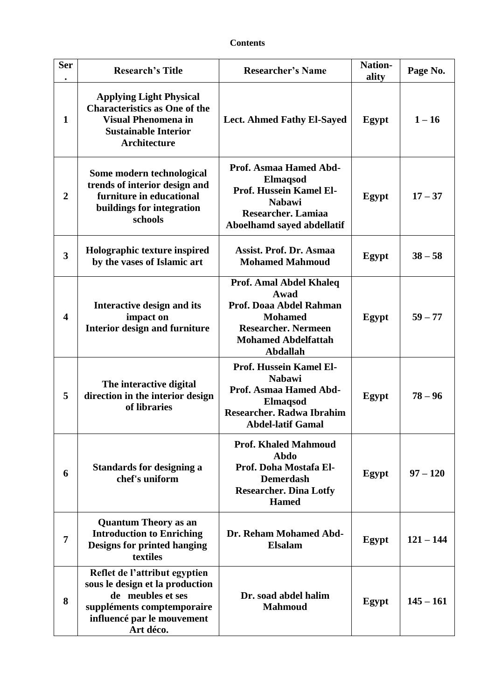## **Contents**

| <b>Ser</b>              | <b>Research's Title</b>                                                                                                                                        | <b>Researcher's Name</b>                                                                                                                                     | <b>Nation-</b><br>ality | Page No.    |
|-------------------------|----------------------------------------------------------------------------------------------------------------------------------------------------------------|--------------------------------------------------------------------------------------------------------------------------------------------------------------|-------------------------|-------------|
| $\mathbf{1}$            | <b>Applying Light Physical</b><br><b>Characteristics as One of the</b><br><b>Visual Phenomena in</b><br><b>Sustainable Interior</b><br><b>Architecture</b>     | <b>Lect. Ahmed Fathy El-Sayed</b>                                                                                                                            | Egypt                   | $1 - 16$    |
| $\overline{2}$          | Some modern technological<br>trends of interior design and<br>furniture in educational<br>buildings for integration<br>schools                                 | Prof. Asmaa Hamed Abd-<br><b>Elmaqsod</b><br>Prof. Hussein Kamel El-<br><b>Nabawi</b><br>Researcher. Lamiaa<br>Aboelhamd sayed abdellatif                    | Egypt                   | $17 - 37$   |
| 3                       | Holographic texture inspired<br>by the vases of Islamic art                                                                                                    | Assist. Prof. Dr. Asmaa<br><b>Mohamed Mahmoud</b>                                                                                                            | Egypt                   | $38 - 58$   |
| $\overline{\mathbf{4}}$ | Interactive design and its<br>impact on<br><b>Interior design and furniture</b>                                                                                | Prof. Amal Abdel Khaleq<br>Awad<br>Prof. Doaa Abdel Rahman<br><b>Mohamed</b><br><b>Researcher. Nermeen</b><br><b>Mohamed Abdelfattah</b><br>Abdallah         | Egypt                   | $59 - 77$   |
| 5                       | The interactive digital<br>direction in the interior design<br>of libraries                                                                                    | <b>Prof. Hussein Kamel El-</b><br><b>Nabawi</b><br>Prof. Asmaa Hamed Abd-<br><b>Elmaqsod</b><br><b>Researcher. Radwa Ibrahim</b><br><b>Abdel-latif Gamal</b> | Egypt                   | $78 - 96$   |
| 6                       | <b>Standards for designing a</b><br>chef's uniform                                                                                                             | <b>Prof. Khaled Mahmoud</b><br>Abdo<br>Prof. Doha Mostafa El-<br><b>Demerdash</b><br><b>Researcher. Dina Lotfy</b><br><b>Hamed</b>                           | Egypt                   | $97 - 120$  |
| 7                       | <b>Quantum Theory as an</b><br><b>Introduction to Enriching</b><br><b>Designs for printed hanging</b><br>textiles                                              | Dr. Reham Mohamed Abd-<br><b>Elsalam</b>                                                                                                                     | Egypt                   | $121 - 144$ |
| 8                       | Reflet de l'attribut egyptien<br>sous le design et la production<br>de meubles et ses<br>suppléments comptemporaire<br>influencé par le mouvement<br>Art déco. | Dr. soad abdel halim<br><b>Mahmoud</b>                                                                                                                       | Egypt                   | $145 - 161$ |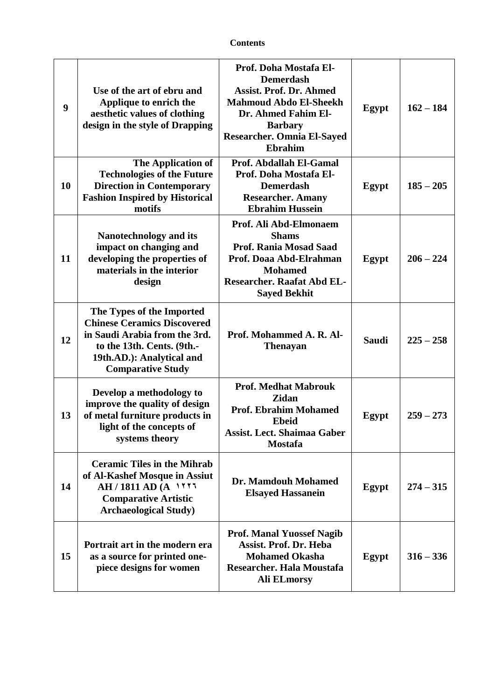| <b>Contents</b> |
|-----------------|
|-----------------|

| 9  | Use of the art of ebru and<br>Applique to enrich the<br>aesthetic values of clothing<br>design in the style of Drapping                                                                 | Prof. Doha Mostafa El-<br><b>Demerdash</b><br><b>Assist. Prof. Dr. Ahmed</b><br><b>Mahmoud Abdo El-Sheekh</b><br>Dr. Ahmed Fahim El-<br><b>Barbary</b><br><b>Researcher. Omnia El-Sayed</b><br><b>Ebrahim</b> | Egypt        | $162 - 184$ |
|----|-----------------------------------------------------------------------------------------------------------------------------------------------------------------------------------------|---------------------------------------------------------------------------------------------------------------------------------------------------------------------------------------------------------------|--------------|-------------|
| 10 | The Application of<br><b>Technologies of the Future</b><br><b>Direction in Contemporary</b><br><b>Fashion Inspired by Historical</b><br>motifs                                          | Prof. Abdallah El-Gamal<br>Prof. Doha Mostafa El-<br><b>Demerdash</b><br><b>Researcher. Amany</b><br><b>Ebrahim Hussein</b>                                                                                   | Egypt        | $185 - 205$ |
| 11 | <b>Nanotechnology and its</b><br>impact on changing and<br>developing the properties of<br>materials in the interior<br>design                                                          | Prof. Ali Abd-Elmonaem<br><b>Shams</b><br><b>Prof. Rania Mosad Saad</b><br>Prof. Doaa Abd-Elrahman<br><b>Mohamed</b><br><b>Researcher. Raafat Abd EL-</b><br><b>Sayed Bekhit</b>                              | Egypt        | $206 - 224$ |
| 12 | The Types of the Imported<br><b>Chinese Ceramics Discovered</b><br>in Saudi Arabia from the 3rd.<br>to the 13th. Cents. (9th.-<br>19th.AD.): Analytical and<br><b>Comparative Study</b> | Prof. Mohammed A. R. Al-<br><b>Thenayan</b>                                                                                                                                                                   | <b>Saudi</b> | $225 - 258$ |
| 13 | Develop a methodology to<br>improve the quality of design<br>of metal furniture products in<br>light of the concepts of<br>systems theory                                               | <b>Prof. Medhat Mabrouk</b><br><b>Zidan</b><br><b>Prof. Ebrahim Mohamed</b><br><b>Ebeid</b><br><b>Assist. Lect. Shaimaa Gaber</b><br><b>Mostafa</b>                                                           | Egypt        | $259 - 273$ |
| 14 | <b>Ceramic Tiles in the Mihrab</b><br>of Al-Kashef Mosque in Assiut<br>AH / 1811 AD (A 1777<br><b>Comparative Artistic</b><br><b>Archaeological Study)</b>                              | Dr. Mamdouh Mohamed<br><b>Elsayed Hassanein</b>                                                                                                                                                               | Egypt        | $274 - 315$ |
| 15 | Portrait art in the modern era<br>as a source for printed one-<br>piece designs for women                                                                                               | <b>Prof. Manal Yuossef Nagib</b><br><b>Assist. Prof. Dr. Heba</b><br><b>Mohamed Okasha</b><br>Researcher. Hala Moustafa<br><b>Ali ELmorsy</b>                                                                 | Egypt        | $316 - 336$ |